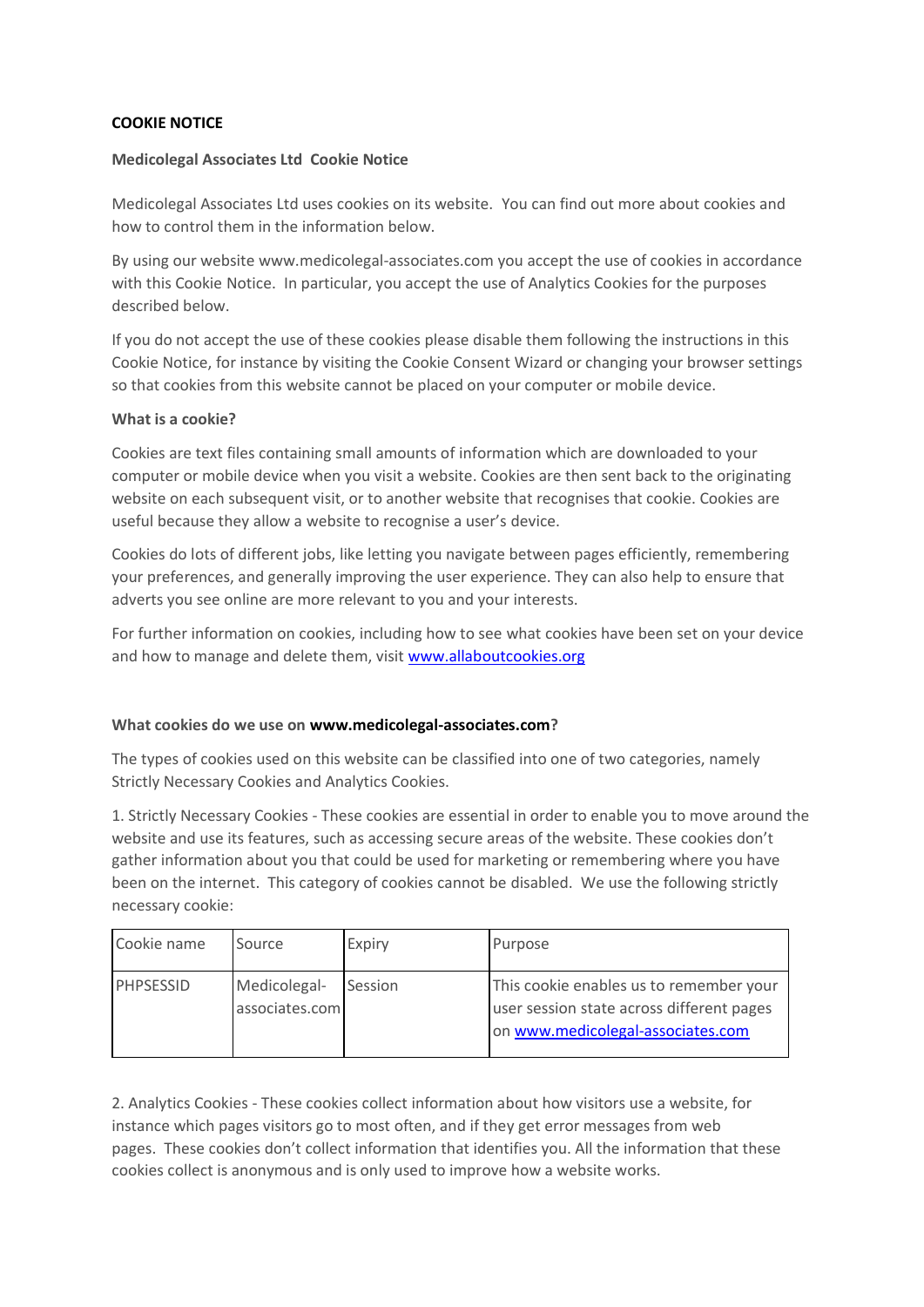# **COOKIE NOTICE**

## **Medicolegal Associates Ltd Cookie Notice**

Medicolegal Associates Ltd uses cookies on its website. You can find out more about cookies and how to control them in the information below.

By using our website www.medicolegal-associates.com you accept the use of cookies in accordance with this Cookie Notice. In particular, you accept the use of Analytics Cookies for the purposes described below.

If you do not accept the use of these cookies please disable them following the instructions in this Cookie Notice, for instance by visiting the Cookie Consent Wizard or changing your browser settings so that cookies from this website cannot be placed on your computer or mobile device.

## **What is a cookie?**

Cookies are text files containing small amounts of information which are downloaded to your computer or mobile device when you visit a website. Cookies are then sent back to the originating website on each subsequent visit, or to another website that recognises that cookie. Cookies are useful because they allow a website to recognise a user's device.

Cookies do lots of different jobs, like letting you navigate between pages efficiently, remembering your preferences, and generally improving the user experience. They can also help to ensure that adverts you see online are more relevant to you and your interests.

For further information on cookies, including how to see what cookies have been set on your device and how to manage and delete them, visit [www.allaboutcookies.org](http://www.allaboutcookies.org/)

## **What cookies do we use on www.medicolegal-associates.com?**

The types of cookies used on this website can be classified into one of two categories, namely Strictly Necessary Cookies and Analytics Cookies.

1. Strictly Necessary Cookies - These cookies are essential in order to enable you to move around the website and use its features, such as accessing secure areas of the website. These cookies don't gather information about you that could be used for marketing or remembering where you have been on the internet. This category of cookies cannot be disabled. We use the following strictly necessary cookie:

| Cookie name | Source                         | Expiry  | Purpose                                                                                                                   |
|-------------|--------------------------------|---------|---------------------------------------------------------------------------------------------------------------------------|
| PHPSESSID   | Medicolegal-<br>associates.com | Session | This cookie enables us to remember your<br>user session state across different pages<br>on www.medicolegal-associates.com |

2. Analytics Cookies - These cookies collect information about how visitors use a website, for instance which pages visitors go to most often, and if they get error messages from web pages. These cookies don't collect information that identifies you. All the information that these cookies collect is anonymous and is only used to improve how a website works.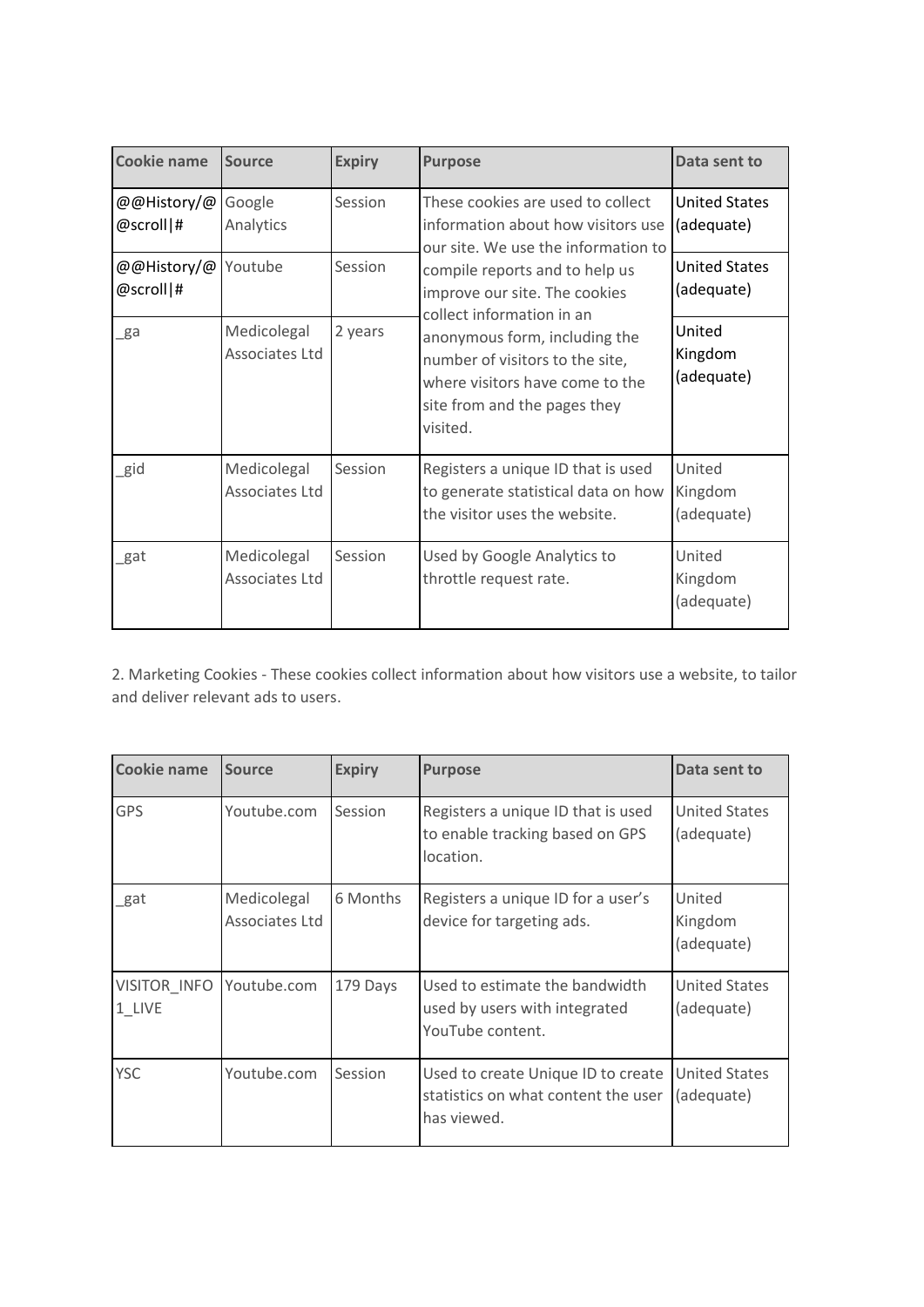| <b>Cookie name</b>       | <b>Source</b>                 | <b>Expiry</b> | <b>Purpose</b>                                                                                                                                                                                                                                                                                                                                                    | Data sent to                       |
|--------------------------|-------------------------------|---------------|-------------------------------------------------------------------------------------------------------------------------------------------------------------------------------------------------------------------------------------------------------------------------------------------------------------------------------------------------------------------|------------------------------------|
| @@History/@<br>@scroll # | Google<br>Analytics           | Session       | These cookies are used to collect<br>information about how visitors use<br>our site. We use the information to<br>compile reports and to help us<br>improve our site. The cookies<br>collect information in an<br>anonymous form, including the<br>number of visitors to the site,<br>where visitors have come to the<br>site from and the pages they<br>visited. | <b>United States</b><br>(adequate) |
| @@History/@<br>@scroll # | Youtube                       | Session       |                                                                                                                                                                                                                                                                                                                                                                   | <b>United States</b><br>(adequate) |
| ga                       | Medicolegal<br>Associates Ltd | 2 years       |                                                                                                                                                                                                                                                                                                                                                                   | United<br>Kingdom<br>(adequate)    |
| gid                      | Medicolegal<br>Associates Ltd | Session       | Registers a unique ID that is used<br>to generate statistical data on how<br>the visitor uses the website.                                                                                                                                                                                                                                                        | United<br>Kingdom<br>(adequate)    |
| _gat                     | Medicolegal<br>Associates Ltd | Session       | Used by Google Analytics to<br>throttle request rate.                                                                                                                                                                                                                                                                                                             | United<br>Kingdom<br>(adequate)    |

2. Marketing Cookies - These cookies collect information about how visitors use a website, to tailor and deliver relevant ads to users.

| Cookie name            | <b>Source</b>                 | <b>Expiry</b> | <b>Purpose</b>                                                                           | Data sent to                       |
|------------------------|-------------------------------|---------------|------------------------------------------------------------------------------------------|------------------------------------|
| <b>GPS</b>             | Youtube.com                   | Session       | Registers a unique ID that is used<br>to enable tracking based on GPS<br>location.       | <b>United States</b><br>(adequate) |
| gat                    | Medicolegal<br>Associates Ltd | 6 Months      | Registers a unique ID for a user's<br>device for targeting ads.                          | United<br>Kingdom<br>(adequate)    |
| VISITOR_INFO<br>1 LIVE | Youtube.com                   | 179 Days      | Used to estimate the bandwidth<br>used by users with integrated<br>YouTube content.      | <b>United States</b><br>(adequate) |
| <b>YSC</b>             | Youtube.com                   | Session       | Used to create Unique ID to create<br>statistics on what content the user<br>has viewed. | <b>United States</b><br>(adequate) |